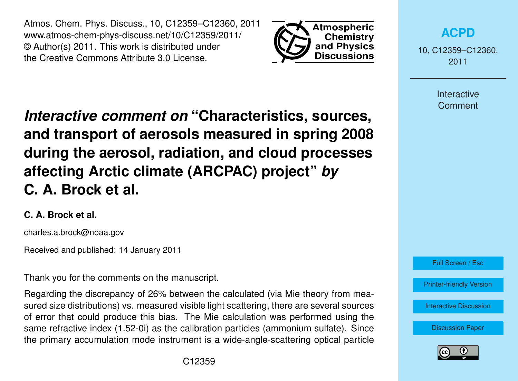Atmos. Chem. Phys. Discuss., 10, C12359–C12360, 2011 www.atmos-chem-phys-discuss.net/10/C12359/2011/ © Author(s) 2011. This work is distributed under the Creative Commons Attribute 3.0 License.



**[ACPD](http://www.atmos-chem-phys-discuss.net)**

10, C12359–C12360, 2011

> Interactive **Comment**

*Interactive comment on* **"Characteristics, sources, and transport of aerosols measured in spring 2008 during the aerosol, radiation, and cloud processes affecting Arctic climate (ARCPAC) project"** *by* **C. A. Brock et al.**

## **C. A. Brock et al.**

charles.a.brock@noaa.gov

Received and published: 14 January 2011

Thank you for the comments on the manuscript.

Regarding the discrepancy of 26% between the calculated (via Mie theory from measured size distributions) vs. measured visible light scattering, there are several sources of error that could produce this bias. The Mie calculation was performed using the same refractive index (1.52-0i) as the calibration particles (ammonium sulfate). Since the primary accumulation mode instrument is a wide-angle-scattering optical particle



[Printer-friendly Version](http://www.atmos-chem-phys-discuss.net/10/C12359/2011/acpd-10-C12359-2011-print.pdf)

[Interactive Discussion](http://www.atmos-chem-phys-discuss.net/10/27361/2010/acpd-10-27361-2010-discussion.html)

[Discussion Paper](http://www.atmos-chem-phys-discuss.net/10/27361/2010/acpd-10-27361-2010.pdf)